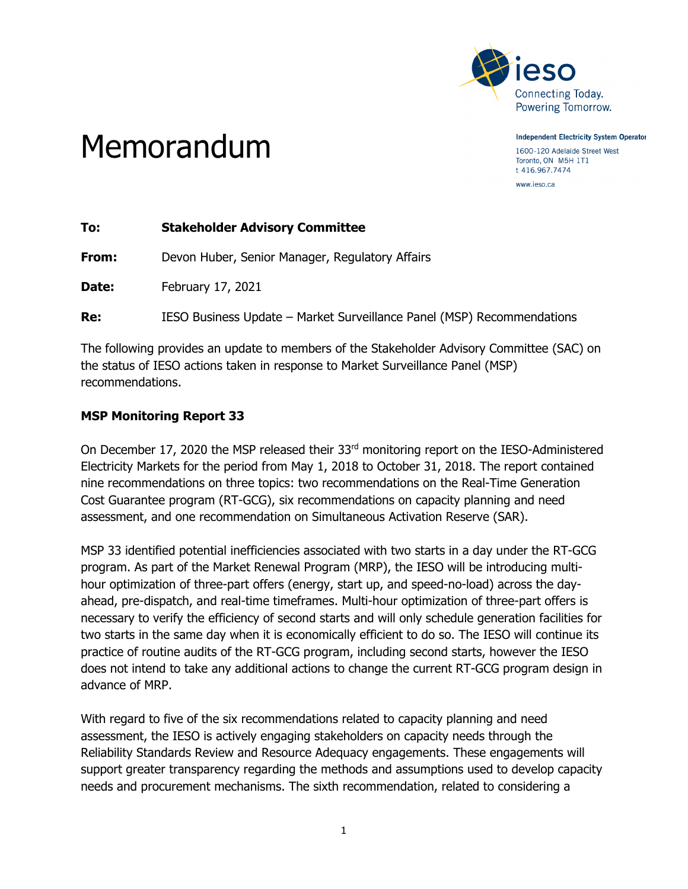

**Independent Electricity System Operator** 1600-120 Adelaide Street West Toronto, ON M5H 1T1 t 416.967.7474

www.ieso.ca

## Memorandum

| To:   | <b>Stakeholder Advisory Committee</b>                                  |
|-------|------------------------------------------------------------------------|
| From: | Devon Huber, Senior Manager, Regulatory Affairs                        |
| Date: | February 17, 2021                                                      |
| Re:   | IESO Business Update - Market Surveillance Panel (MSP) Recommendations |

The following provides an update to members of the Stakeholder Advisory Committee (SAC) on the status of IESO actions taken in response to Market Surveillance Panel (MSP) recommendations.

## **MSP Monitoring Report 33**

On December 17, 2020 the MSP released their 33<sup>rd</sup> monitoring report on the IESO-Administered Electricity Markets for the period from May 1, 2018 to October 31, 2018. The report contained nine recommendations on three topics: two recommendations on the Real-Time Generation Cost Guarantee program (RT-GCG), six recommendations on capacity planning and need assessment, and one recommendation on Simultaneous Activation Reserve (SAR).

MSP 33 identified potential inefficiencies associated with two starts in a day under the RT-GCG program. As part of the Market Renewal Program (MRP), the IESO will be introducing multihour optimization of three-part offers (energy, start up, and speed-no-load) across the dayahead, pre-dispatch, and real-time timeframes. Multi-hour optimization of three-part offers is necessary to verify the efficiency of second starts and will only schedule generation facilities for two starts in the same day when it is economically efficient to do so. The IESO will continue its practice of routine audits of the RT-GCG program, including second starts, however the IESO does not intend to take any additional actions to change the current RT-GCG program design in advance of MRP.

With regard to five of the six recommendations related to capacity planning and need assessment, the IESO is actively engaging stakeholders on capacity needs through the Reliability Standards Review and Resource Adequacy engagements. These engagements will support greater transparency regarding the methods and assumptions used to develop capacity needs and procurement mechanisms. The sixth recommendation, related to considering a